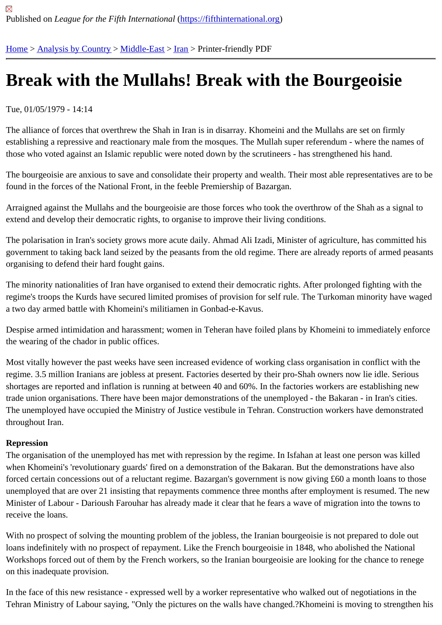## [Bre](https://fifthinternational.org/)[ak with the](https://fifthinternational.org/category/1) [Mulla](https://fifthinternational.org/category/1/178)[hs!](https://fifthinternational.org/category/1/178/182) Break with the Bourgeoisie

## Tue, 01/05/1979 - 14:14

The alliance of forces that overthrew the Shah in Iran is in disarray. Khomeini and the Mullahs are set on firmly establishing a repressive and reactionary male from the mosques. The Mullah super referendum - where the name those who voted against an Islamic republic were noted down by the scrutineers - has strengthened his hand.

The bourgeoisie are anxious to save and consolidate their property and wealth. Their most able representatives ar found in the forces of the National Front, in the feeble Premiership of Bazargan.

Arraigned against the Mullahs and the bourgeoisie are those forces who took the overthrow of the Shah as a signa extend and develop their democratic rights, to organise to improve their living conditions.

The polarisation in Iran's society grows more acute daily. Ahmad Ali Izadi, Minister of agriculture, has committed his government to taking back land seized by the peasants from the old regime. There are already reports of armed p organising to defend their hard fought gains.

The minority nationalities of Iran have organised to extend their democratic rights. After prolonged fighting with the regime's troops the Kurds have secured limited promises of provision for self rule. The Turkoman minority have wa a two day armed battle with Khomeini's militiamen in Gonbad-e-Kavus.

Despise armed intimidation and harassment; women in Teheran have foiled plans by Khomeini to immediately enf the wearing of the chador in public offices.

Most vitally however the past weeks have seen increased evidence of working class organisation in conflict with th regime. 3.5 million Iranians are jobless at present. Factories deserted by their pro-Shah owners now lie idle. Serio shortages are reported and inflation is running at between 40 and 60%. In the factories workers are establishing ne trade union organisations. There have been major demonstrations of the unemployed - the Bakaran - in Iran's citie The unemployed have occupied the Ministry of Justice vestibule in Tehran. Construction workers have demonstrat throughout Iran.

## Repression

The organisation of the unemployed has met with repression by the regime. In Isfahan at least one person was kill when Khomeini's 'revolutionary guards' fired on a demonstration of the Bakaran. But the demonstrations have also forced certain concessions out of a reluctant regime. Bazargan's government is now giving £60 a month loans to tl unemployed that are over 21 insisting that repayments commence three months after employment is resumed. The Minister of Labour - Darioush Farouhar has already made it clear that he fears a wave of migration into the towns t receive the loans.

With no prospect of solving the mounting problem of the jobless, the Iranian bourgeoisie is not prepared to dole ou loans indefinitely with no prospect of repayment. Like the French bourgeoisie in 1848, who abolished the National Workshops forced out of them by the French workers, so the Iranian bourgeoisie are looking for the chance to rene on this inadequate provision.

In the face of this new resistance - expressed well by a worker representative who walked out of negotiations in th Tehran Ministry of Labour saying, "Only the pictures on the walls have changed.?Khomeini is moving to strengthei